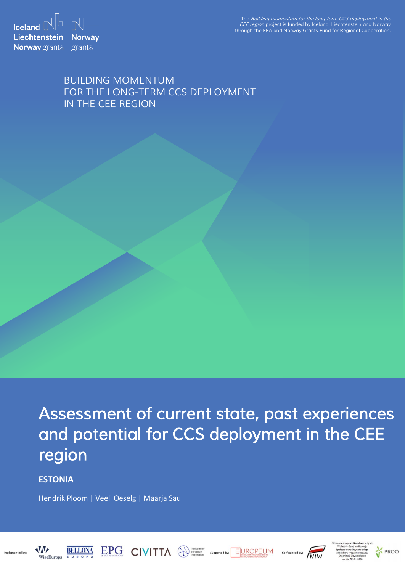**Iceland**  $\mathbb{R}^{\mathbb{L}}$   $\mathbb{R}$ **Liechtenstein Norway Norway** grants grants

*The Building momentum for the long-term CCS deployment in the CEE region project is funded by Iceland, Liechtenstein and Norway through the EEA and Norway Grants Fund for Regional Cooperation.*

# *BUILDING MOMENTUM FOR THE LONG-TERM CCS DEPLOYMENT IN THE CEE REGION*

*Assessment of current state, past experiences and potential for CCS deployment in the CEE region* 

EPG CIVITTA Supported by: EUROPEUM

**ESTONIA**

**BELLONA** 

Hendrik Ploom | Veeli Oeselg | Maarja Sau





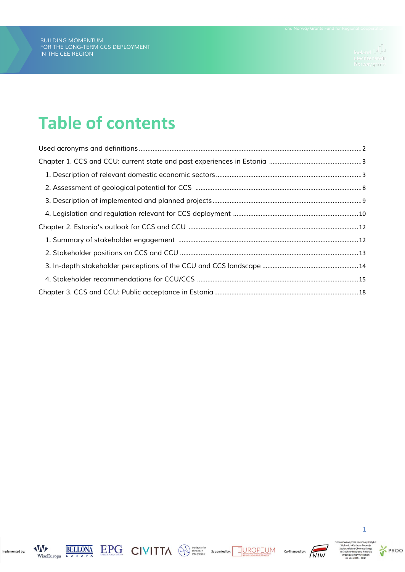# **Table of contents**



Implemented by:







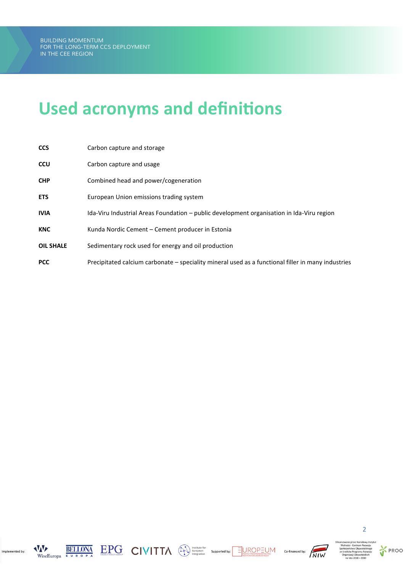# <span id="page-2-0"></span>**Used acronyms and definitions**

| <b>CCS</b>       | Carbon capture and storage                                                                         |
|------------------|----------------------------------------------------------------------------------------------------|
| <b>CCU</b>       | Carbon capture and usage                                                                           |
| <b>CHP</b>       | Combined head and power/cogeneration                                                               |
| <b>ETS</b>       | European Union emissions trading system                                                            |
| <b>IVIA</b>      | Ida-Viru Industrial Areas Foundation – public development organisation in Ida-Viru region          |
| <b>KNC</b>       | Kunda Nordic Cement – Cement producer in Estonia                                                   |
| <b>OIL SHALE</b> | Sedimentary rock used for energy and oil production                                                |
| <b>PCC</b>       | Precipitated calcium carbonate – speciality mineral used as a functional filler in many industries |



Implemented by:







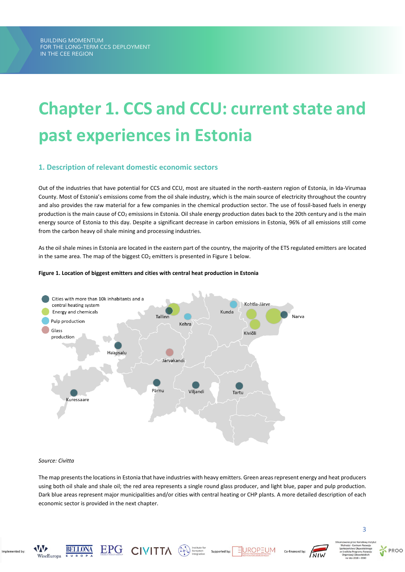# <span id="page-3-0"></span>**Chapter 1. CCS and CCU: current state and past experiences in Estonia**

# <span id="page-3-1"></span>**1. Description of relevant domestic economic sectors**

Out of the industries that have potential for CCS and CCU, most are situated in the north-eastern region of Estonia, in Ida-Virumaa County. Most of Estonia's emissions come from the oil shale industry, which is the main source of electricity throughout the country and also provides the raw material for a few companies in the chemical production sector. The use of fossil-based fuels in energy production is the main cause of CO<sub>2</sub> emissions in Estonia. Oil shale energy production dates back to the 20th century and is the main energy source of Estonia to this day. Despite a significant decrease in carbon emissions in Estonia, 96% of all emissions still come from the carbon heavy oil shale mining and processing industries.

As the oil shale mines in Estonia are located in the eastern part of the country, the majority of the ETS regulated emitters are located in the same area. The map of the biggest  $CO<sub>2</sub>$  emitters is presented in Figure 1 below.





#### *Source: Civitta*

The map presents the locations in Estonia that have industries with heavy emitters. Green areas represent energy and heat producers using both oil shale and shale oil; the red area represents a single round glass producer, and light blue, paper and pulp production. Dark blue areas represent major municipalities and/or cities with central heating or CHP plants. A more detailed description of each economic sector is provided in the next chapter.



Implemented by









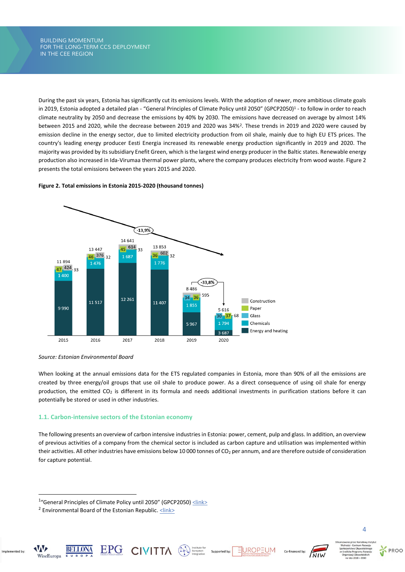*THE BUILDING MOMENTUM BUILDING MOMENTUM FOR THE LONG-TERM CCS DEPLOYMENT FOR THE LONG-TERM CCS DEPLOYMENT IN THE CEE REGION IN THE CEE REGION*

During the past six years, Estonia has significantly cut its emissions levels. With the adoption of newer, more ambitious climate goals in 2019, Estonia adopted a detailed plan - "General Principles of Climate Policy until 2050" (GPCP2050)<sup>1</sup> - to follow in order to reach climate neutrality by 2050 and decrease the emissions by 40% by 2030. The emissions have decreased on average by almost 14% between 2015 and 2020, while the decrease between 2019 and 2020 was 34%<sup>2</sup> . These trends in 2019 and 2020 were caused by emission decline in the energy sector, due to limited electricity production from oil shale, mainly due to high EU ETS prices. The country's leading energy producer Eesti Energia increased its renewable energy production significantly in 2019 and 2020. The majority was provided by its subsidiary Enefit Green, which is the largest wind energy producer in the Baltic states. Renewable energy production also increased in Ida-Virumaa thermal power plants, where the company produces electricity from wood waste. Figure 2 presents the total emissions between the years 2015 and 2020.

# **Figure 2. Total emissions in Estonia 2015-2020 (thousand tonnes)**



*Source: Estonian Environmental Board*

When looking at the annual emissions data for the ETS regulated companies in Estonia, more than 90% of all the emissions are created by three energy/oil groups that use oil shale to produce power. As a direct consequence of using oil shale for energy production, the emitted  $CO_2$  is different in its formula and needs additional investments in purification stations before it can potentially be stored or used in other industries.

# **1.1. Carbon-intensive sectors of the Estonian economy**

The following presents an overview of carbon intensive industries in Estonia: power, cement, pulp and glass. In addition, an overview of previous activities of a company from the chemical sector is included as carbon capture and utilisation was implemented within their activities. All other industries have emissions below 10 000 tonnes of  $CO<sub>2</sub>$  per annum, and are therefore outside of consideration for capture potential.

 $\text{EPC}_{\text{Dilbert root} \atop \text{Dilbert root} \text{C}} \quad \text{CIVITA} \quad \text{QVITC} \quad \text{Suppose} \quad \text{Suppose} \quad \text{Suppose} \quad \text{Suppose} \quad \text{Suppose} \quad \text{Suppose} \quad \text{Suppose} \quad \text{Suppose} \quad \text{Suppose} \quad \text{Suppose} \quad \text{Suppose} \quad \text{Suppose} \quad \text{Suppose} \quad \text{Suppose} \quad \text{Suppose} \quad \text{Suppose} \quad \text{Suppose} \quad \text{Suppose} \quad \text{Suppose} \quad \text{Suppose} \quad \text{Suppose} \quad$ 

**AVAVE** 

WiseEuropa

Implemented by







<sup>&</sup>lt;sup>1</sup>"General Principles of Climate Policy until 2050" (GPCP2050) [<link>](https://www.riigiteataja.ee/akt/307042017001)

<sup>&</sup>lt;sup>2</sup> Environmental Board of the Estonian Republic. [<link>](https://www.keskkonnaamet.ee/sites/default/files/Kliima/eli_hksi_kaitiste_nimekiri_heitkogused_ja_vastavusseisund_5.pdf)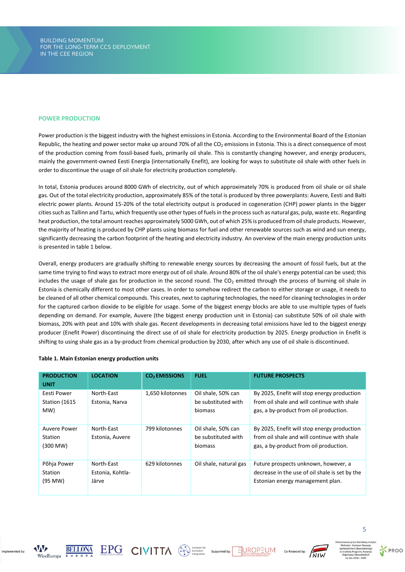### **POWER PRODUCTION**

Power production is the biggest industry with the highest emissions in Estonia. According to the Environmental Board of the Estonian Republic, the heating and power sector make up around 70% of all the  $CO<sub>2</sub>$  emissions in Estonia. This is a direct consequence of most of the production coming from fossil-based fuels, primarily oil shale. This is constantly changing however, and energy producers, mainly the government-owned Eesti Energia (internationally Enefit), are looking for ways to substitute oil shale with other fuels in order to discontinue the usage of oil shale for electricity production completely.

In total, Estonia produces around 8000 GWh of electricity, out of which approximately 70% is produced from oil shale or oil shale gas. Out of the total electricity production, approximately 85% of the total is produced by three powerplants: Auvere, Eesti and Balti electric power plants. Around 15-20% of the total electricity output is produced in cogeneration (CHP) power plants in the bigger cities such as Tallinn and Tartu, which frequently use other types of fuels in the process such as natural gas, pulp, waste etc. Regarding heat production, the total amount reaches approximately 5000 GWh, out of which 25% is produced from oil shale products. However, the majority of heating is produced by CHP plants using biomass for fuel and other renewable sources such as wind and sun energy, significantly decreasing the carbon footprint of the heating and electricity industry. An overview of the main energy production units is presented in table 1 below.

Overall, energy producers are gradually shifting to renewable energy sources by decreasing the amount of fossil fuels, but at the same time trying to find ways to extract more energy out of oil shale. Around 80% of the oil shale's energy potential can be used; this includes the usage of shale gas for production in the second round. The  $CO<sub>2</sub>$  emitted through the process of burning oil shale in Estonia is chemically different to most other cases. In order to somehow redirect the carbon to either storage or usage, it needs to be cleaned of all other chemical compounds. This creates, next to capturing technologies, the need for cleaning technologies in order for the captured carbon dioxide to be eligible for usage. Some of the biggest energy blocks are able to use multiple types of fuels depending on demand. For example, Auvere (the biggest energy production unit in Estonia) can substitute 50% of oil shale with biomass, 20% with peat and 10% with shale gas. Recent developments in decreasing total emissions have led to the biggest energy producer (Enefit Power) discontinuing the direct use of oil shale for electricity production by 2025. Energy production in Enefit is shifting to using shale gas as a by-product from chemical production by 2030, after which any use of oil shale is discontinued.

| <b>PRODUCTION</b><br><b>UNIT</b>     | <b>LOCATION</b>                         | <b>CO<sub>2</sub></b> EMISSIONS | <b>FUEL</b>                                          | <b>FUTURE PROSPECTS</b>                                                                                                              |
|--------------------------------------|-----------------------------------------|---------------------------------|------------------------------------------------------|--------------------------------------------------------------------------------------------------------------------------------------|
| Eesti Power<br>Station (1615)<br>MW) | North-East<br>Estonia, Narva            | 1,650 kilotonnes                | Oil shale, 50% can<br>be substituted with<br>biomass | By 2025, Enefit will stop energy production<br>from oil shale and will continue with shale<br>gas, a by-product from oil production. |
| Auvere Power<br>Station<br>(300 MW)  | North-East<br>Estonia, Auvere           | 799 kilotonnes                  | Oil shale, 50% can<br>be substituted with<br>biomass | By 2025, Enefit will stop energy production<br>from oil shale and will continue with shale<br>gas, a by-product from oil production. |
| Põhja Power<br>Station<br>(95 MW)    | North-East<br>Estonia, Kohtla-<br>Järve | 629 kilotonnes                  | Oil shale, natural gas                               | Future prospects unknown, however, a<br>decrease in the use of oil shale is set by the<br>Estonian energy management plan.           |

#### **Table 1. Main Estonian energy production units**



Implemented by









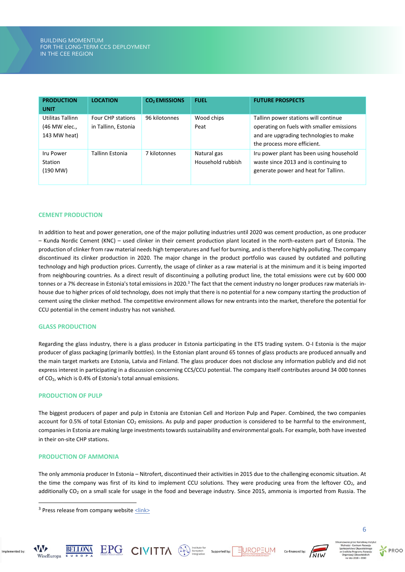| <b>PRODUCTION</b>                                 | <b>LOCATION</b>                          | <b>CO<sub>2</sub></b> EMISSIONS | <b>FUEL</b>                      | <b>FUTURE PROSPECTS</b>                                                                                                                                    |
|---------------------------------------------------|------------------------------------------|---------------------------------|----------------------------------|------------------------------------------------------------------------------------------------------------------------------------------------------------|
| <b>UNIT</b>                                       |                                          |                                 |                                  |                                                                                                                                                            |
| Utilitas Tallinn<br>(46 MW elec.,<br>143 MW heat) | Four CHP stations<br>in Tallinn, Estonia | 96 kilotonnes                   | Wood chips<br>Peat               | Tallinn power stations will continue<br>operating on fuels with smaller emissions<br>and are upgrading technologies to make<br>the process more efficient. |
| Iru Power<br>Station<br>(190 MW)                  | Tallinn Estonia                          | 7 kilotonnes                    | Natural gas<br>Household rubbish | Iru power plant has been using household<br>waste since 2013 and is continuing to<br>generate power and heat for Tallinn.                                  |

# **CEMENT PRODUCTION**

In addition to heat and power generation, one of the major polluting industries until 2020 was cement production, as one producer – Kunda Nordic Cement (KNC) – used clinker in their cement production plant located in the north-eastern part of Estonia. The production of clinker from raw material needs high temperatures and fuel for burning, and is therefore highly polluting. The company discontinued its clinker production in 2020. The major change in the product portfolio was caused by outdated and polluting technology and high production prices. Currently, the usage of clinker as a raw material is at the minimum and it is being imported from neighbouring countries. As a direct result of discontinuing a polluting product line, the total emissions were cut by 600 000 tonnes or a 7% decrease in Estonia's total emissions in 2020.<sup>3</sup> The fact that the cement industry no longer produces raw materials inhouse due to higher prices of old technology, does not imply that there is no potential for a new company starting the production of cement using the clinker method. The competitive environment allows for new entrants into the market, therefore the potential for CCU potential in the cement industry has not vanished.

# **GLASS PRODUCTION**

Regarding the glass industry, there is a glass producer in Estonia participating in the ETS trading system. O-I Estonia is the major producer of glass packaging (primarily bottles). In the Estonian plant around 65 tonnes of glass products are produced annually and the main target markets are Estonia, Latvia and Finland. The glass producer does not disclose any information publicly and did not express interest in participating in a discussion concerning CCS/CCU potential. The company itself contributes around 34 000 tonnes of CO2, which is 0.4% of Estonia's total annual emissions.

#### **PRODUCTION OF PULP**

The biggest producers of paper and pulp in Estonia are Estonian Cell and Horizon Pulp and Paper. Combined, the two companies account for 0.5% of total Estonian CO<sub>2</sub> emissions. As pulp and paper production is considered to be harmful to the environment, companies in Estonia are making large investments towards sustainability and environmental goals. For example, both have invested in their on-site CHP stations.

### **PRODUCTION OF AMMONIA**

The only ammonia producer In Estonia – Nitrofert, discontinued their activities in 2015 due to the challenging economic situation. At the time the company was first of its kind to implement CCU solutions. They were producing urea from the leftover CO<sub>2</sub>, and additionally  $CO<sub>2</sub>$  on a small scale for usage in the food and beverage industry. Since 2015, ammonia is imported from Russia. The



Implemented by









 $3$  Press release from company website  $\leq$ link>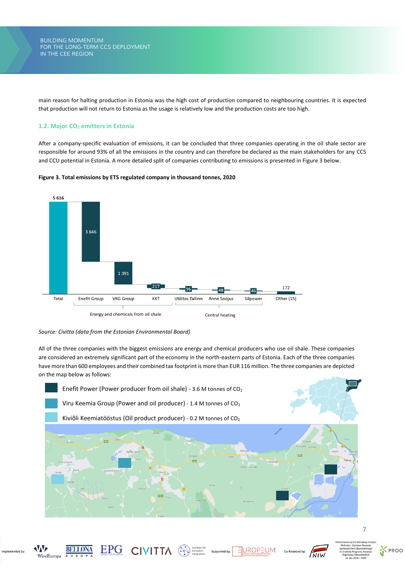*THE BUILDING MOMENTUM BUILDING MOMENTUM FOR THE LONG-TERM CCS DEPLOYMENT FOR THE LONG-TERM CCS DEPLOYMENT IN THE CEE REGION IN THE CEE REGION*

main reason for halting production in Estonia was the high cost of production compared to neighbouring countries. It is expected that production will not return to Estonia as the usage is relatively low and the production costs are too high.

# **1.2. Major CO<sup>2</sup> emitters in Estonia**

After a company-specific evaluation of emissions, it can be concluded that three companies operating in the oil shale sector are responsible for around 93% of all the emissions in the country and can therefore be declared as the main stakeholders for any CCS and CCU potential in Estonia. A more detailed split of companies contributing to emissions is presented in Figure 3 below.





*Source: Civitta (data from the Estonian Environmental Board)*

All of the three companies with the biggest emissions are energy and chemical producers who use oil shale. These companies are considered an extremely significant part of the economy in the north-eastern parts of Estonia. Each of the three companies have more than 600 employees and their combined tax footprint is more than EUR 116 million. The three companies are depicted on the map below as follows:



EUROP

Supported by

 $\underset{\text{Bilkerrion} }{ \text{EPPG}} \quad \text{CIVITA} \quad \text{QV} \quad \text{Filkerrion}$ 



Implemented by

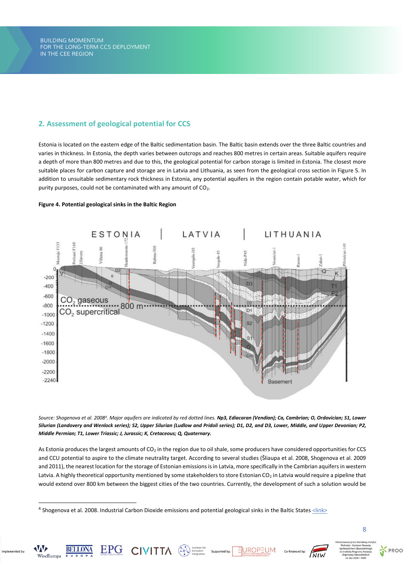# <span id="page-8-0"></span>**2. Assessment of geological potential for CCS**

Estonia is located on the eastern edge of the Baltic sedimentation basin. The Baltic basin extends over the three Baltic countries and varies in thickness. In Estonia, the depth varies between outcrops and reaches 800 metres in certain areas. Suitable aquifers require a depth of more than 800 metres and due to this, the geological potential for carbon storage is limited in Estonia. The closest more suitable places for carbon capture and storage are in Latvia and Lithuania, as seen from the geological cross section in Figure 5. In addition to unsuitable sedimentary rock thickness in Estonia, any potential aquifers in the region contain potable water, which for purity purposes, could not be contaminated with any amount of CO<sub>2</sub>.

# **Figure 4. Potential geological sinks in the Baltic Region**



*Source: Shogenova et al. 2008<sup>4</sup> . Major aquifers are indicated by red dotted lines. Np3, Ediacaran (Vendian); Ca, Cambrian; O, Ordovician; S1, Lower Silurian (Landovery and Wenlock series); S2, Upper Silurian (Ludlow and Pridoli series); D1, D2, and D3, Lower, Middle, and Upper Devonian; P2, Middle Permian; T1, Lower Triassic; J, Jurassic; K, Cretaceous; Q, Quaternary.*

As Estonia produces the largest amounts of CO<sub>2</sub> in the region due to oil shale, some producers have considered opportunities for CCS and CCU potential to aspire to the climate neutrality target. According to several studies (Šliaupa et al. 2008, Shogenova et al. 2009 and 2011), the nearest location for the storage of Estonian emissions is in Latvia, more specifically in the Cambrian aquifers in western Latvia. A highly theoretical opportunity mentioned by some stakeholders to store Estonian CO<sub>2</sub> in Latvia would require a pipeline that would extend over 800 km between the biggest cities of the two countries. Currently, the development of such a solution would be

EUROP

 $\textstyle\mathop{\mathbf{EPC}}_{\text{nonconjected by:}}\ \textstyle\mathop{\mathbf{CIVHTA}}\nolimits\qquad \textstyle\mathop{\textstyle\bigoplus}\nolimits_{\text{intgration}}\ \textstyle\mathop{\textstyle\bigoplus}\nolimits_{\text{supported by:}}$ 

W

WiseEuropa

Implemented by





<sup>&</sup>lt;sup>4</sup> Shogenova et al. 2008. Industrial Carbon Dioxide emissions and potential geological sinks in the Baltic States  $\frac{<\lnh>}{<}$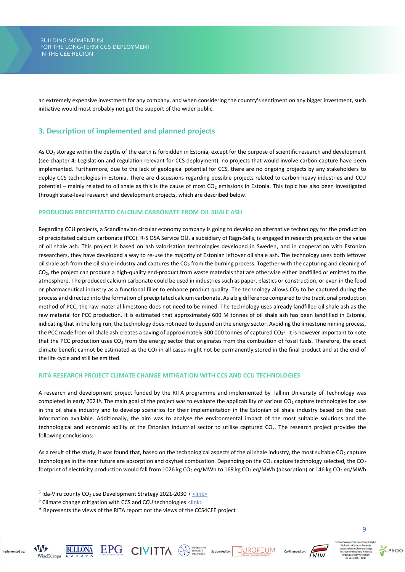an extremely expensive investment for any company, and when considering the country's sentiment on any bigger investment, such initiative would most probably not get the support of the wider public.

# <span id="page-9-0"></span>**3. Description of implemented and planned projects**

As  $CO<sub>2</sub>$  storage within the depths of the earth is forbidden in Estonia, except for the purpose of scientific research and development (see chapter 4: Legislation and regulation relevant for CCS deployment), no projects that would involve carbon capture have been implemented. Furthermore, due to the lack of geological potential for CCS, there are no ongoing projects by any stakeholders to deploy CCS technologies in Estonia. There are discussions regarding possible projects related to carbon heavy industries and CCU potential – mainly related to oil shale as this is the cause of most  $CO_2$  emissions in Estonia. This topic has also been investigated through state-level research and development projects, which are described below.

# **PRODUCING PRECIPITATED CALCIUM CARBONATE FROM OIL SHALE ASH**

Regarding CCU projects, a Scandinavian circular economy company is going to develop an alternative technology for the production of precipitated calcium carbonate (PCC). R-S OSA Service OÜ, a subsidiary of Ragn-Sells, is engaged in research projects on the value of oil shale ash. This project is based on ash valorisation technologies developed in Sweden, and in cooperation with Estonian researchers, they have developed a way to re-use the majority of Estonian leftover oil shale ash. The technology uses both leftover oil shale ash from the oil shale industry and captures the  $CO<sub>2</sub>$  from the burning process. Together with the capturing and cleaning of CO<sub>2</sub>, the project can produce a high-quality end-product from waste materials that are otherwise either landfilled or emitted to the atmosphere. The produced calcium carbonate could be used in industries such as paper, plastics or construction, or even in the food or pharmaceutical industry as a functional filler to enhance product quality. The technology allows CO<sub>2</sub> to be captured during the process and directed into the formation of precipitated calcium carbonate. As a big difference compared to the traditional production method of PCC, the raw material limestone does not need to be mined. The technology uses already landfilled oil shale ash as the raw material for PCC production. It is estimated that approximately 600 M tonnes of oil shale ash has been landfilled in Estonia, indicating that in the long run, the technology does not need to depend on the energy sector. Avoiding the limestone mining process, the PCC made from oil shale ash creates a saving of approximately 300 000 tonnes of captured CO<sub>2</sub>5. It is however important to note that the PCC production uses CO<sub>2</sub> from the energy sector that originates from the combustion of fossil fuels. Therefore, the exact climate benefit cannot be estimated as the  $CO<sub>2</sub>$  in all cases might not be permanently stored in the final product and at the end of the life cycle and still be emitted.

# **RITA RESEARCH PROJECT CLIMATE CHANGE MITIGATION WITH CCS AND CCU TECHNOLOGIES**

A research and development project funded by the RITA programme and implemented by Tallinn University of Technology was completed in early 2021<sup>6</sup>. The main goal of the project was to evaluate the applicability of various CO<sub>2</sub> capture technologies for use in the oil shale industry and to develop scenarios for their implementation in the Estonian oil shale industry based on the best information available. Additionally, the aim was to analyse the environmental impact of the most suitable solutions and the technological and economic ability of the Estonian industrial sector to utilise captured CO<sub>2</sub>. The research project provides the following conclusions:

As a result of the study, it was found that, based on the technological aspects of the oil shale industry, the most suitable  $CO<sub>2</sub>$  capture technologies in the near future are absorption and oxyfuel combustion. Depending on the  $CO<sub>2</sub>$  capture technology selected, the  $CO<sub>2</sub>$ footprint of electricity production would fall from 1026 kg CO<sub>2</sub> eq/MWh to 169 kg CO<sub>2</sub> eq/MWh (absorption) or 146 kg CO<sub>2</sub> eq/MWh

 $\textstyle\mathop{\mathbf{EPG}}\limits_{\text{INIST NUC C QC}} \quad \text{CIVITIA} \quad \textcircled{N}\text{ \begin{smallmatrix} \text{Institute for} \\ \text{Suppose} \end{smallmatrix} \text{ supported by:} \quad \text{Suppose} \quad \text{By:} \quad \text{Suppose} \quad \text{By:} \quad \text{By:} \quad \text{By:} \quad \text{By:} \quad \text{By:} \quad \text{By:} \quad \text{By:} \quad \text{By:} \quad \text{By:} \quad \text{By:} \quad \text{By:} \quad \text{By:} \quad \text{By:} \quad \text{By:} \quad \$ 

Implemented by

WiseEuropa





<sup>&</sup>lt;sup>5</sup> Ida-Viru county CO<sub>2</sub> use Development Strategy 2021-2030 +  $\leq$ link>

 $6$  Climate change mitigation with CCS and CCU technologies  $\leq$ link>

<sup>\*</sup> Represents the views of the RITA report not the views of the CCS4CEE project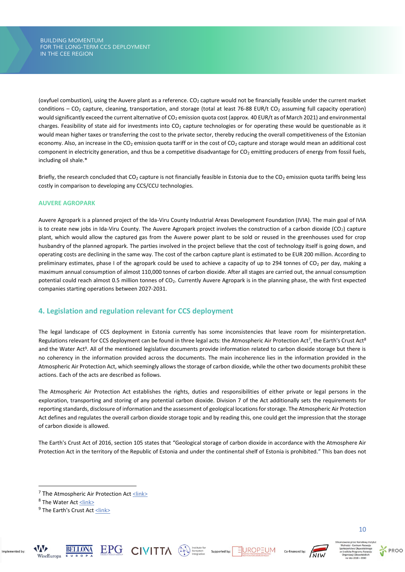(oxyfuel combustion), using the Auvere plant as a reference. CO<sub>2</sub> capture would not be financially feasible under the current market conditions – CO<sub>2</sub> capture, cleaning, transportation, and storage (total at least 76-88 EUR/t CO<sub>2</sub> assuming full capacity operation) would significantly exceed the current alternative of  $CO<sub>2</sub>$  emission quota cost (approx. 40 EUR/t as of March 2021) and environmental charges. Feasibility of state aid for investments into  $CO<sub>2</sub>$  capture technologies or for operating these would be questionable as it would mean higher taxes or transferring the cost to the private sector, thereby reducing the overall competitiveness of the Estonian economy. Also, an increase in the CO<sub>2</sub> emission quota tariff or in the cost of CO<sub>2</sub> capture and storage would mean an additional cost component in electricity generation, and thus be a competitive disadvantage for  $CO<sub>2</sub>$  emitting producers of energy from fossil fuels, including oil shale.\*

Briefly, the research concluded that  $CO<sub>2</sub>$  capture is not financially feasible in Estonia due to the  $CO<sub>2</sub>$  emission quota tariffs being less costly in comparison to developing any CCS/CCU technologies.

# **AUVERE AGROPARK**

Auvere Agropark is a planned project of the Ida-Viru County Industrial Areas Development Foundation (IVIA). The main goal of IVIA is to create new jobs in Ida-Viru County. The Auvere Agropark project involves the construction of a carbon dioxide (CO<sub>2</sub>) capture plant, which would allow the captured gas from the Auvere power plant to be sold or reused in the greenhouses used for crop husbandry of the planned agropark. The parties involved in the project believe that the cost of technology itself is going down, and operating costs are declining in the same way. The cost of the carbon capture plant is estimated to be EUR 200 million. According to preliminary estimates, phase I of the agropark could be used to achieve a capacity of up to 294 tonnes of  $CO<sub>2</sub>$  per day, making a maximum annual consumption of almost 110,000 tonnes of carbon dioxide. After all stages are carried out, the annual consumption potential could reach almost 0.5 million tonnes of CO<sub>2</sub>. Currently Auvere Agropark is in the planning phase, the with first expected companies starting operations between 2027-2031.

# <span id="page-10-0"></span>**4. Legislation and regulation relevant for CCS deployment**

The legal landscape of CCS deployment in Estonia currently has some inconsistencies that leave room for misinterpretation. Regulations relevant for CCS deployment can be found in three legal acts: the Atmospheric Air Protection Act<sup>7</sup>, the Earth's Crust Act<sup>8</sup> and the Water Act<sup>9</sup>. All of the mentioned legislative documents provide information related to carbon dioxide storage but there is no coherency in the information provided across the documents. The main incoherence lies in the information provided in the Atmospheric Air Protection Act, which seemingly allows the storage of carbon dioxide, while the other two documents prohibit these actions. Each of the acts are described as follows.

The Atmospheric Air Protection Act establishes the rights, duties and responsibilities of either private or legal persons in the exploration, transporting and storing of any potential carbon dioxide. Division 7 of the Act additionally sets the requirements for reporting standards, disclosure of information and the assessment of geological locations for storage. The Atmospheric Air Protection Act defines and regulates the overall carbon dioxide storage topic and by reading this, one could get the impression that the storage of carbon dioxide is allowed.

The Earth's Crust Act of 2016, section 105 states that "Geological storage of carbon dioxide in accordance with the Atmosphere Air Protection Act in the territory of the Republic of Estonia and under the continental shelf of Estonia is prohibited." This ban does not



Implemented by









<sup>&</sup>lt;sup>7</sup> The Atmospheric Air Protection Ac[t <link>](https://www.riigiteataja.ee/en/eli/517012017003/consolide)

<sup>&</sup>lt;sup>8</sup> The Water Act <u><link></u>

<sup>&</sup>lt;sup>9</sup> The Earth's Crust Act <u><link></u>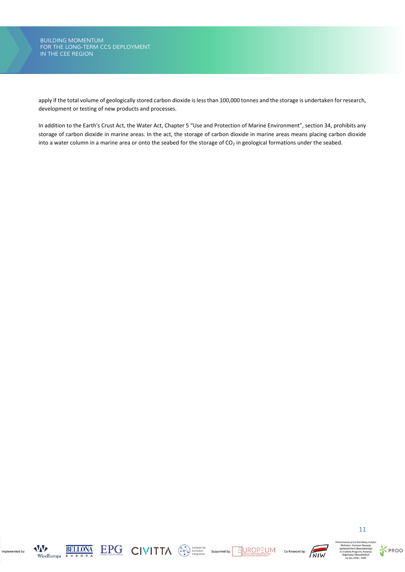apply if the total volume of geologically stored carbon dioxide is less than 100,000 tonnes and the storage is undertaken for research, development or testing of new products and processes.

In addition to the Earth's Crust Act, the Water Act, Chapter 5 "Use and Protection of Marine Environment", section 34, prohibits any storage of carbon dioxide in marine areas. In the act, the storage of carbon dioxide in marine areas means placing carbon dioxide into a water column in a marine area or onto the seabed for the storage of  $CO<sub>2</sub>$  in geological formations under the seabed.



Implemented by:









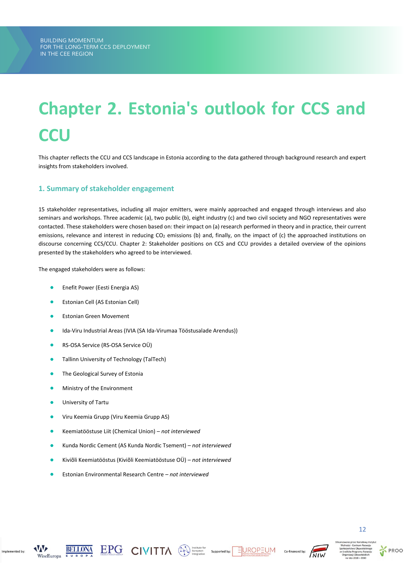# <span id="page-12-0"></span>**Chapter 2. Estonia's outlook for CCS and CCU**

This chapter reflects the CCU and CCS landscape in Estonia according to the data gathered through background research and expert insights from stakeholders involved.

# <span id="page-12-1"></span>**1. Summary of stakeholder engagement**

15 stakeholder representatives, including all major emitters, were mainly approached and engaged through interviews and also seminars and workshops. Three academic (a), two public (b), eight industry (c) and two civil society and NGO representatives were contacted. These stakeholders were chosen based on: their impact on (a) research performed in theory and in practice, their current emissions, relevance and interest in reducing CO<sub>2</sub> emissions (b) and, finally, on the impact of (c) the approached institutions on discourse concerning CCS/CCU. Chapter 2: Stakeholder positions on CCS and CCU provides a detailed overview of the opinions presented by the stakeholders who agreed to be interviewed.

The engaged stakeholders were as follows:

- **•** Enefit Power (Eesti Energia AS)
- Estonian Cell (AS Estonian Cell)
- Estonian Green Movement
- Ida-Viru Industrial Areas (IVIA (SA Ida-Virumaa Tööstusalade Arendus))
- RS-OSA Service (RS-OSA Service OÜ)
- Tallinn University of Technology (TalTech)
- The Geological Survey of Estonia
- **•** Ministry of the Environment
- University of Tartu
- Viru Keemia Grupp (Viru Keemia Grupp AS)
- Keemiatööstuse Liit (Chemical Union) *not interviewed*
- Kunda Nordic Cement (AS Kunda Nordic Tsement) *not interviewed*
- Kiviõli Keemiatööstus (Kiviõli Keemiatööstuse OÜ) *not interviewed*
- Estonian Environmental Research Centre *not interviewed*



Implemented by







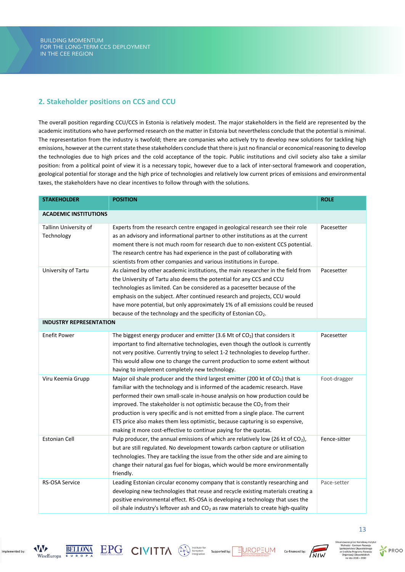# <span id="page-13-0"></span>**2. Stakeholder positions on CCS and CCU**

The overall position regarding CCU/CCS in Estonia is relatively modest. The major stakeholders in the field are represented by the academic institutions who have performed research on the matter in Estonia but nevertheless conclude that the potential is minimal. The representation from the industry is twofold; there are companies who actively try to develop new solutions for tackling high emissions, however at the current state these stakeholders conclude that there is just no financial or economical reasoning to develop the technologies due to high prices and the cold acceptance of the topic. Public institutions and civil society also take a similar position: from a political point of view it is a necessary topic, however due to a lack of inter-sectoral framework and cooperation, geological potential for storage and the high price of technologies and relatively low current prices of emissions and environmental taxes, the stakeholders have no clear incentives to follow through with the solutions.

| <b>STAKEHOLDER</b>                  | <b>POSITION</b>                                                                                                                                                                                                                                                                                                                                                                                                                                                                                                                                                                          | <b>ROLE</b>  |  |  |  |  |
|-------------------------------------|------------------------------------------------------------------------------------------------------------------------------------------------------------------------------------------------------------------------------------------------------------------------------------------------------------------------------------------------------------------------------------------------------------------------------------------------------------------------------------------------------------------------------------------------------------------------------------------|--------------|--|--|--|--|
| <b>ACADEMIC INSTITUTIONS</b>        |                                                                                                                                                                                                                                                                                                                                                                                                                                                                                                                                                                                          |              |  |  |  |  |
| Tallinn University of<br>Technology | Experts from the research centre engaged in geological research see their role<br>as an advisory and informational partner to other institutions as at the current<br>moment there is not much room for research due to non-existent CCS potential.<br>The research centre has had experience in the past of collaborating with<br>scientists from other companies and various institutions in Europe.                                                                                                                                                                                   | Pacesetter   |  |  |  |  |
| University of Tartu                 | As claimed by other academic institutions, the main researcher in the field from<br>the University of Tartu also deems the potential for any CCS and CCU<br>technologies as limited. Can be considered as a pacesetter because of the<br>emphasis on the subject. After continued research and projects, CCU would<br>have more potential, but only approximately 1% of all emissions could be reused<br>because of the technology and the specificity of Estonian CO <sub>2</sub> .                                                                                                     | Pacesetter   |  |  |  |  |
|                                     | <b>INDUSTRY REPRESENTATION</b>                                                                                                                                                                                                                                                                                                                                                                                                                                                                                                                                                           |              |  |  |  |  |
| <b>Enefit Power</b>                 | The biggest energy producer and emitter (3.6 Mt of $CO2$ ) that considers it<br>important to find alternative technologies, even though the outlook is currently<br>not very positive. Currently trying to select 1-2 technologies to develop further.<br>This would allow one to change the current production to some extent without<br>having to implement completely new technology.                                                                                                                                                                                                 | Pacesetter   |  |  |  |  |
| Viru Keemia Grupp                   | Major oil shale producer and the third largest emitter (200 kt of CO <sub>2</sub> ) that is<br>familiar with the technology and is informed of the academic research. Have<br>performed their own small-scale in-house analysis on how production could be<br>improved. The stakeholder is not optimistic because the CO <sub>2</sub> from their<br>production is very specific and is not emitted from a single place. The current<br>ETS price also makes them less optimistic, because capturing is so expensive,<br>making it more cost-effective to continue paying for the quotas. | Foot-dragger |  |  |  |  |
| <b>Estonian Cell</b>                | Pulp producer, the annual emissions of which are relatively low (26 kt of $CO2$ ),<br>but are still regulated. No development towards carbon capture or utilisation<br>technologies. They are tackling the issue from the other side and are aiming to<br>change their natural gas fuel for biogas, which would be more environmentally<br>friendly.                                                                                                                                                                                                                                     | Fence-sitter |  |  |  |  |
| <b>RS-OSA Service</b>               | Leading Estonian circular economy company that is constantly researching and<br>developing new technologies that reuse and recycle existing materials creating a<br>positive environmental effect. RS-OSA is developing a technology that uses the<br>oil shale industry's leftover ash and CO <sub>2</sub> as raw materials to create high-quality                                                                                                                                                                                                                                      | Pace-setter  |  |  |  |  |



Implemented by







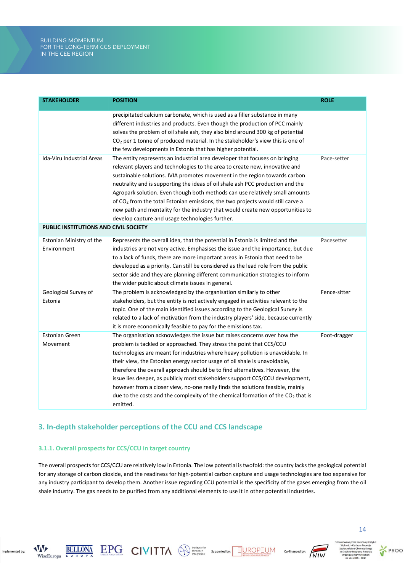# *THE BUILDING MOMENTUM BUILDING MOMENTUM FOR THE LONG-TERM CCS DEPLOYMENT FOR THE LONG-TERM CCS DEPLOYMENT IN THE CEE REGION IN THE CEE REGION*

| <b>STAKEHOLDER</b>                      | <b>POSITION</b>                                                                                                                                                                                                                                                                                                                                                                                                                                                                                                                                                                                                                                                     | <b>ROLE</b>  |
|-----------------------------------------|---------------------------------------------------------------------------------------------------------------------------------------------------------------------------------------------------------------------------------------------------------------------------------------------------------------------------------------------------------------------------------------------------------------------------------------------------------------------------------------------------------------------------------------------------------------------------------------------------------------------------------------------------------------------|--------------|
|                                         | precipitated calcium carbonate, which is used as a filler substance in many<br>different industries and products. Even though the production of PCC mainly<br>solves the problem of oil shale ash, they also bind around 300 kg of potential<br>$CO2$ per 1 tonne of produced material. In the stakeholder's view this is one of<br>the few developments in Estonia that has higher potential.                                                                                                                                                                                                                                                                      |              |
| Ida-Viru Industrial Areas               | The entity represents an industrial area developer that focuses on bringing<br>relevant players and technologies to the area to create new, innovative and<br>sustainable solutions. IVIA promotes movement in the region towards carbon<br>neutrality and is supporting the ideas of oil shale ash PCC production and the<br>Agropark solution. Even though both methods can use relatively small amounts<br>of CO <sub>2</sub> from the total Estonian emissions, the two projects would still carve a<br>new path and mentality for the industry that would create new opportunities to<br>develop capture and usage technologies further.                       | Pace-setter  |
| PUBLIC INSTITUTIONS AND CIVIL SOCIETY   |                                                                                                                                                                                                                                                                                                                                                                                                                                                                                                                                                                                                                                                                     |              |
| Estonian Ministry of the<br>Environment | Represents the overall idea, that the potential in Estonia is limited and the<br>industries are not very active. Emphasises the issue and the importance, but due<br>to a lack of funds, there are more important areas in Estonia that need to be<br>developed as a priority. Can still be considered as the lead role from the public<br>sector side and they are planning different communication strategies to inform<br>the wider public about climate issues in general.                                                                                                                                                                                      | Pacesetter   |
| Geological Survey of<br>Estonia         | The problem is acknowledged by the organisation similarly to other<br>stakeholders, but the entity is not actively engaged in activities relevant to the<br>topic. One of the main identified issues according to the Geological Survey is<br>related to a lack of motivation from the industry players' side, because currently<br>it is more economically feasible to pay for the emissions tax.                                                                                                                                                                                                                                                                  | Fence-sitter |
| <b>Estonian Green</b><br>Movement       | The organisation acknowledges the issue but raises concerns over how the<br>problem is tackled or approached. They stress the point that CCS/CCU<br>technologies are meant for industries where heavy pollution is unavoidable. In<br>their view, the Estonian energy sector usage of oil shale is unavoidable,<br>therefore the overall approach should be to find alternatives. However, the<br>issue lies deeper, as publicly most stakeholders support CCS/CCU development,<br>however from a closer view, no-one really finds the solutions feasible, mainly<br>due to the costs and the complexity of the chemical formation of the $CO2$ that is<br>emitted. | Foot-dragger |

# <span id="page-14-0"></span>**3. In-depth stakeholder perceptions of the CCU and CCS landscape**

# **3.1.1. Overall prospects for CCS/CCU in target country**

The overall prospects for CCS/CCU are relatively low in Estonia. The low potential is twofold: the country lacks the geological potential for any storage of carbon dioxide, and the readiness for high-potential carbon capture and usage technologies are too expensive for any industry participant to develop them. Another issue regarding CCU potential is the specificity of the gases emerging from the oil shale industry. The gas needs to be purified from any additional elements to use it in other potential industries.



**VAV** 

WiseEuropa

Implemented by









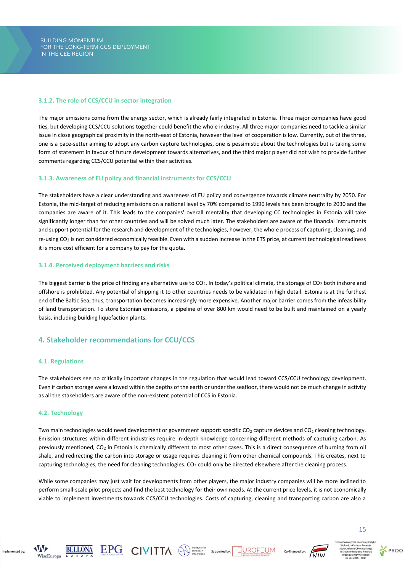# **3.1.2. The role of CCS/CCU in sector integration**

The major emissions come from the energy sector, which is already fairly integrated in Estonia. Three major companies have good ties, but developing CCS/CCU solutions together could benefit the whole industry. All three major companies need to tackle a similar issue in close geographical proximity in the north-east of Estonia, however the level of cooperation is low. Currently, out of the three, one is a pace-setter aiming to adopt any carbon capture technologies, one is pessimistic about the technologies but is taking some form of statement in favour of future development towards alternatives, and the third major player did not wish to provide further comments regarding CCS/CCU potential within their activities.

# **3.1.3. Awareness of EU policy and financial instruments for CCS/CCU**

The stakeholders have a clear understanding and awareness of EU policy and convergence towards climate neutrality by 2050. For Estonia, the mid-target of reducing emissions on a national level by 70% compared to 1990 levels has been brought to 2030 and the companies are aware of it. This leads to the companies' overall mentality that developing CC technologies in Estonia will take significantly longer than for other countries and will be solved much later. The stakeholders are aware of the financial instruments and support potential for the research and development of the technologies, however, the whole process of capturing, cleaning, and re-using CO<sub>2</sub> is not considered economically feasible. Even with a sudden increase in the ETS price, at current technological readiness it is more cost efficient for a company to pay for the quota.

# **3.1.4. Perceived deployment barriers and risks**

The biggest barrier is the price of finding any alternative use to CO<sub>2</sub>. In today's political climate, the storage of CO<sub>2</sub> both inshore and offshore is prohibited. Any potential of shipping it to other countries needs to be validated in high detail. Estonia is at the furthest end of the Baltic Sea; thus, transportation becomes increasingly more expensive. Another major barrier comes from the infeasibility of land transportation. To store Estonian emissions, a pipeline of over 800 km would need to be built and maintained on a yearly basis, including building liquefaction plants.

# <span id="page-15-0"></span>**4. Stakeholder recommendations for CCU/CCS**

#### **4.1. Regulations**

The stakeholders see no critically important changes in the regulation that would lead toward CCS/CCU technology development. Even if carbon storage were allowed within the depths of the earth or under the seafloor, there would not be much change in activity as all the stakeholders are aware of the non-existent potential of CCS in Estonia.

# **4.2. Technology**

Two main technologies would need development or government support: specific  $CO_2$  capture devices and  $CO_2$  cleaning technology. Emission structures within different industries require in-depth knowledge concerning different methods of capturing carbon. As previously mentioned, CO<sub>2</sub> in Estonia is chemically different to most other cases. This is a direct consequence of burning from oil shale, and redirecting the carbon into storage or usage requires cleaning it from other chemical compounds. This creates, next to capturing technologies, the need for cleaning technologies.  $CO<sub>2</sub>$  could only be directed elsewhere after the cleaning process.

While some companies may just wait for developments from other players, the major industry companies will be more inclined to perform small-scale pilot projects and find the best technology for their own needs. At the current price levels, it is not economically viable to implement investments towards CCS/CCU technologies. Costs of capturing, cleaning and transporting carbon are also a



15



Implemented by



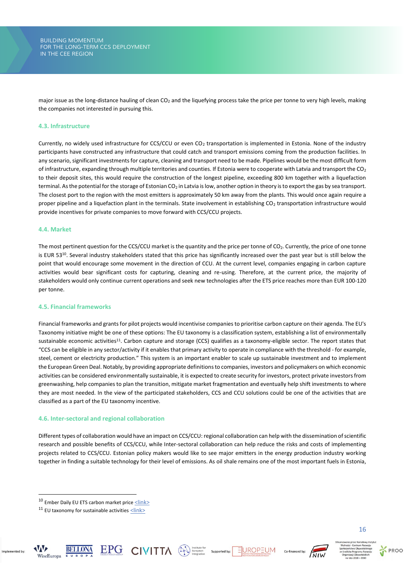major issue as the long-distance hauling of clean CO<sub>2</sub> and the liquefying process take the price per tonne to very high levels, making the companies not interested in pursuing this.

# **4.3. Infrastructure**

Currently, no widely used infrastructure for CCS/CCU or even CO<sub>2</sub> transportation is implemented in Estonia. None of the industry participants have constructed any infrastructure that could catch and transport emissions coming from the production facilities. In any scenario, significant investments for capture, cleaning and transport need to be made. Pipelines would be the most difficult form of infrastructure, expanding through multiple territories and counties. If Estonia were to cooperate with Latvia and transport the  $CO<sub>2</sub>$ to their deposit sites, this would require the construction of the longest pipeline, exceeding 800 km together with a liquefaction terminal. As the potential for the storage of Estonian CO<sub>2</sub> in Latvia is low, another option in theory is to export the gas by sea transport. The closest port to the region with the most emitters is approximately 50 km away from the plants. This would once again require a proper pipeline and a liquefaction plant in the terminals. State involvement in establishing CO<sub>2</sub> transportation infrastructure would provide incentives for private companies to move forward with CCS/CCU projects.

#### **4.4. Market**

The most pertinent question for the CCS/CCU market is the quantity and the price per tonne of CO<sub>2</sub>. Currently, the price of one tonne is EUR 53<sup>10</sup>. Several industry stakeholders stated that this price has significantly increased over the past year but is still below the point that would encourage some movement in the direction of CCU. At the current level, companies engaging in carbon capture activities would bear significant costs for capturing, cleaning and re-using. Therefore, at the current price, the majority of stakeholders would only continue current operations and seek new technologies after the ETS price reaches more than EUR 100-120 per tonne.

# **4.5. Financial frameworks**

Financial frameworks and grants for pilot projects would incentivise companies to prioritise carbon capture on their agenda. The EU's Taxonomy initiative might be one of these options: The EU taxonomy is a classification system, establishing a list of environmentally sustainable economic activities<sup>11</sup>. Carbon capture and storage (CCS) qualifies as a taxonomy-eligible sector. The report states that "CCS can be eligible in any sector/activity if it enables that primary activity to operate in compliance with the threshold - for example, steel, cement or electricity production." This system is an important enabler to scale up sustainable investment and to implement the European Green Deal. Notably, by providing appropriate definitions to companies, investors and policymakers on which economic activities can be considered environmentally sustainable, it is expected to create security for investors, protect private investors from greenwashing, help companies to plan the transition, mitigate market fragmentation and eventually help shift investments to where they are most needed. In the view of the participated stakeholders, CCS and CCU solutions could be one of the activities that are classified as a part of the EU taxonomy incentive.

#### **4.6. Inter-sectoral and regional collaboration**

Different types of collaboration would have an impact on CCS/CCU: regional collaboration can help with the dissemination of scientific research and possible benefits of CCS/CCU, while Inter-sectoral collaboration can help reduce the risks and costs of implementing projects related to CCS/CCU. Estonian policy makers would like to see major emitters in the energy production industry working together in finding a suitable technology for their level of emissions. As oil shale remains one of the most important fuels in Estonia,

Implemented by









 $10$  Ember Daily EU ETS carbon market price  $\leq$ link>

<sup>&</sup>lt;sup>11</sup> EU taxonomy for sustainable activities  $\leq$ link>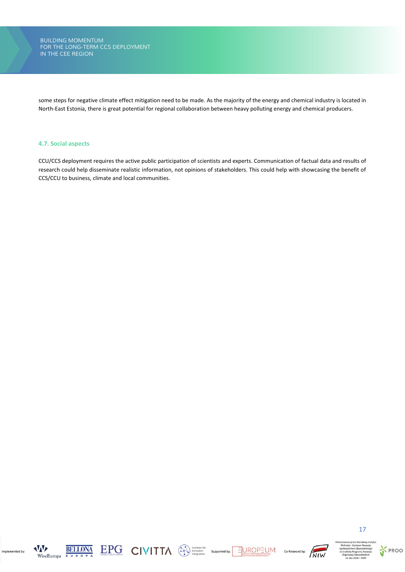some steps for negative climate effect mitigation need to be made. As the majority of the energy and chemical industry is located in North-East Estonia, there is great potential for regional collaboration between heavy polluting energy and chemical producers.

# **4.7. Social aspects**

CCU/CCS deployment requires the active public participation of scientists and experts. Communication of factual data and results of research could help disseminate realistic information, not opinions of stakeholders. This could help with showcasing the benefit of CCS/CCU to business, climate and local communities.



Implemented by:







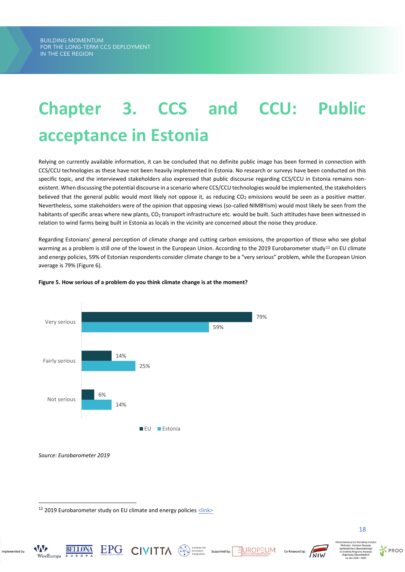# <span id="page-18-0"></span>**Chapter 3. CCS and CCU: Public acceptance in Estonia**

Relying on currently available information, it can be concluded that no definite public image has been formed in connection with CCS/CCU technologies as these have not been heavily implemented In Estonia. No research or surveys have been conducted on this specific topic, and the interviewed stakeholders also expressed that public discourse regarding CCS/CCU in Estonia remains nonexistent. When discussing the potential discourse in a scenario where CCS/CCU technologies would be implemented, the stakeholders believed that the general public would most likely not oppose it, as reducing CO<sub>2</sub> emissions would be seen as a positive matter. Nevertheless, some stakeholders were of the opinion that opposing views (so-called NIMBYism) would most likely be seen from the habitants of specific areas where new plants,  $CO<sub>2</sub>$  transport infrastructure etc. would be built. Such attitudes have been witnessed in relation to wind farms being built in Estonia as locals in the vicinity are concerned about the noise they produce.

Regarding Estonians' general perception of climate change and cutting carbon emissions, the proportion of those who see global warming as a problem is still one of the lowest in the European Union. According to the 2019 Eurobarometer study<sup>12</sup> on EU climate and energy policies, 59% of Estonian respondents consider climate change to be a "very serious" problem, while the European Union average is 79% (Figure 6).



 $\textstyle\mathop{\mathbf{EPC}}_{\text{nonconjected by:}}\ \textstyle\mathop{\mathbf{CIVHTA}}\nolimits\qquad \textstyle\mathop{\textstyle\bigoplus}\nolimits_{\text{intgration}}\ \textstyle\mathop{\textstyle\bigoplus}\nolimits_{\text{supported by:}}$ 

# **Figure 5. How serious of a problem do you think climate change is at the moment?**

 $12$  2019 Eurobarometer study on EU climate and energy policies  $\leq$ lin $k$ 

**AVAVE** 

WiseEuropa

Implemented by



EUROPEUM

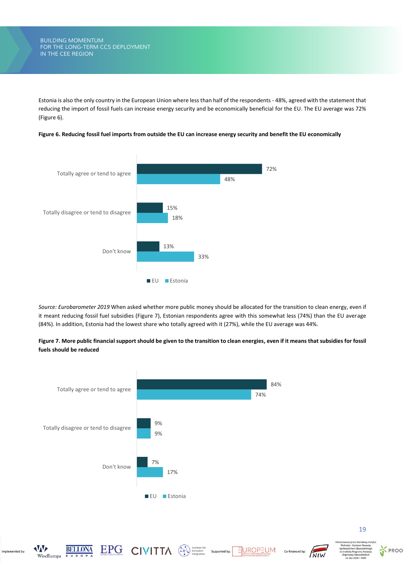Estonia is also the only country in the European Union where less than half of the respondents - 48%, agreed with the statement that reducing the import of fossil fuels can increase energy security and be economically beneficial for the EU. The EU average was 72% (Figure 6).



**Figure 6. Reducing fossil fuel imports from outside the EU can increase energy security and benefit the EU economically**

*Source: Eurobarometer 2019* When asked whether more public money should be allocated for the transition to clean energy, even if it meant reducing fossil fuel subsidies (Figure 7), Estonian respondents agree with this somewhat less (74%) than the EU average (84%). In addition, Estonia had the lowest share who totally agreed with it (27%), while the EU average was 44%.





 $\textstyle\mathop{\mathbf{EPG}}\limits_{\text{Bilker productedor}} \hspace{-0.3cm} \text{CIVITIA} \hspace{-0.3cm} \text{CIVITIA} \hspace{-0.3cm} \text{QN}^{\text{Institute for}}_{\text{imorphism}} \hspace{-0.3cm} \text{Suppose}$ 

EUROPEUM

Co-financed by:



Implemented by

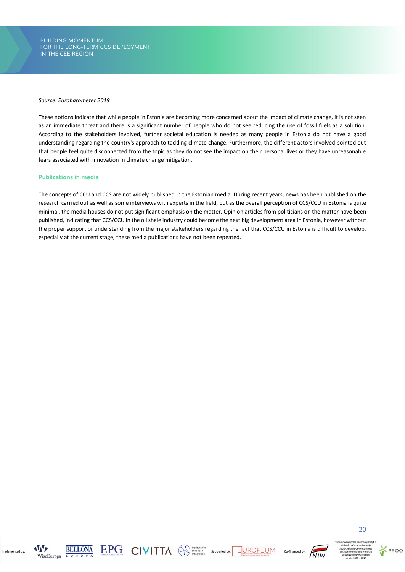*THE BUILDING MOMENTUM BUILDING MOMENTUM FOR THE LONG-TERM CCS DEPLOYMENT FOR THE LONG-TERM CCS DEPLOYMENT IN THE CEE REGION IN THE CEE REGION*

#### *Source: Eurobarometer 2019*

These notions indicate that while people in Estonia are becoming more concerned about the impact of climate change, it is not seen as an immediate threat and there is a significant number of people who do not see reducing the use of fossil fuels as a solution. According to the stakeholders involved, further societal education is needed as many people in Estonia do not have a good understanding regarding the country's approach to tackling climate change. Furthermore, the different actors involved pointed out that people feel quite disconnected from the topic as they do not see the impact on their personal lives or they have unreasonable fears associated with innovation in climate change mitigation.

### **Publications in media**

The concepts of CCU and CCS are not widely published in the Estonian media. During recent years, news has been published on the research carried out as well as some interviews with experts in the field, but as the overall perception of CCS/CCU in Estonia is quite minimal, the media houses do not put significant emphasis on the matter. Opinion articles from politicians on the matter have been published, indicating that CCS/CCU in the oil shale industry could become the next big development area in Estonia, however without the proper support or understanding from the major stakeholders regarding the fact that CCS/CCU in Estonia is difficult to develop, especially at the current stage, these media publications have not been repeated.



Implemented by